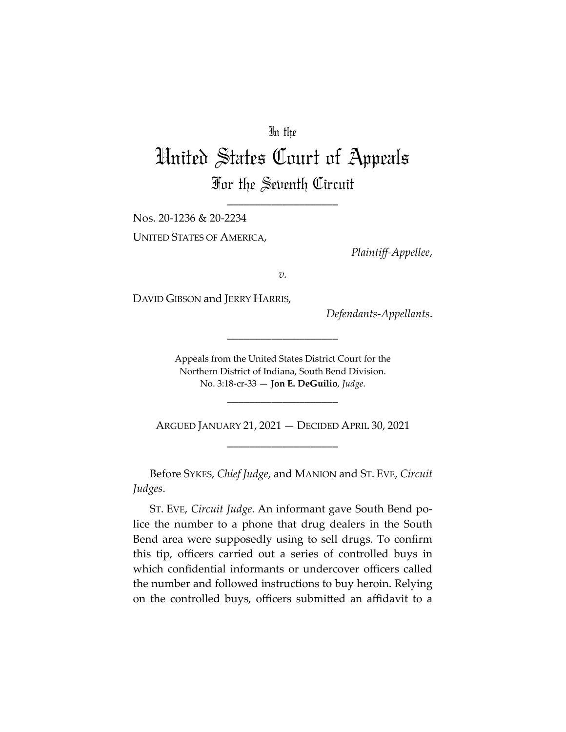# In the

# United States Court of Appeals For the Seventh Circuit

\_\_\_\_\_\_\_\_\_\_\_\_\_\_\_\_\_\_\_\_

Nos. 20-1236 & 20-2234

UNITED STATES OF AMERICA,

*Plaintiff-Appellee*,

*v.*

DAVID GIBSON and JERRY HARRIS,

*Defendants-Appellants*.

Appeals from the United States District Court for the Northern District of Indiana, South Bend Division. No. 3:18-cr-33 — **Jon E. DeGuilio**, *Judge*.

\_\_\_\_\_\_\_\_\_\_\_\_\_\_\_\_\_\_\_\_

\_\_\_\_\_\_\_\_\_\_\_\_\_\_\_\_\_\_\_\_

ARGUED JANUARY 21, 2021 — DECIDED APRIL 30, 2021 \_\_\_\_\_\_\_\_\_\_\_\_\_\_\_\_\_\_\_\_

Before SYKES, *Chief Judge*, and MANION and ST. EVE, *Circuit Judges*.

ST. EVE, *Circuit Judge*. An informant gave South Bend police the number to a phone that drug dealers in the South Bend area were supposedly using to sell drugs. To confirm this tip, officers carried out a series of controlled buys in which confidential informants or undercover officers called the number and followed instructions to buy heroin. Relying on the controlled buys, officers submitted an affidavit to a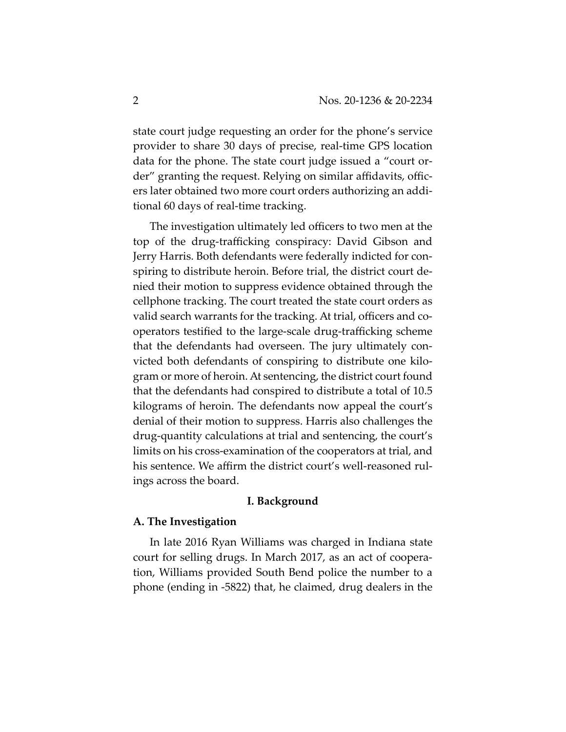state court judge requesting an order for the phone's service provider to share 30 days of precise, real-time GPS location data for the phone. The state court judge issued a "court order" granting the request. Relying on similar affidavits, officers later obtained two more court orders authorizing an additional 60 days of real-time tracking.

The investigation ultimately led officers to two men at the top of the drug-trafficking conspiracy: David Gibson and Jerry Harris. Both defendants were federally indicted for conspiring to distribute heroin. Before trial, the district court denied their motion to suppress evidence obtained through the cellphone tracking. The court treated the state court orders as valid search warrants for the tracking. At trial, officers and cooperators testified to the large-scale drug-trafficking scheme that the defendants had overseen. The jury ultimately convicted both defendants of conspiring to distribute one kilogram or more of heroin. At sentencing, the district court found that the defendants had conspired to distribute a total of 10.5 kilograms of heroin. The defendants now appeal the court's denial of their motion to suppress. Harris also challenges the drug-quantity calculations at trial and sentencing, the court's limits on his cross-examination of the cooperators at trial, and his sentence. We affirm the district court's well-reasoned rulings across the board.

## **I. Background**

#### **A. The Investigation**

In late 2016 Ryan Williams was charged in Indiana state court for selling drugs. In March 2017, as an act of cooperation, Williams provided South Bend police the number to a phone (ending in -5822) that, he claimed, drug dealers in the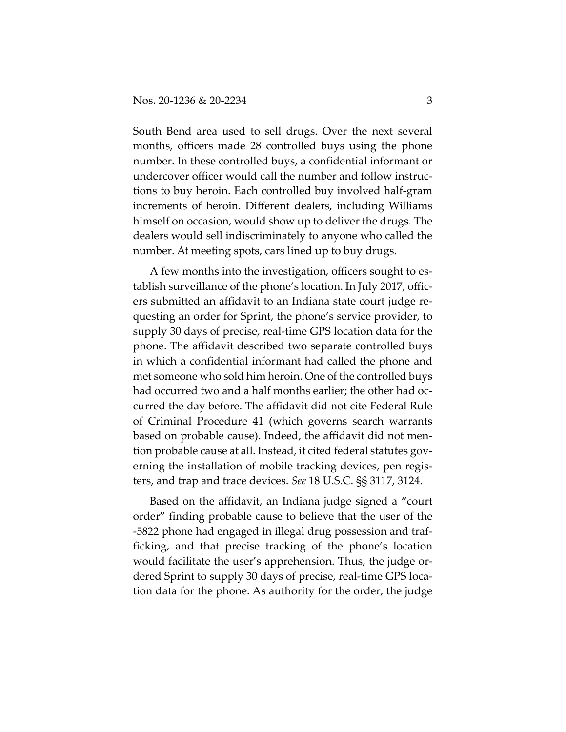South Bend area used to sell drugs. Over the next several months, officers made 28 controlled buys using the phone number. In these controlled buys, a confidential informant or undercover officer would call the number and follow instructions to buy heroin. Each controlled buy involved half-gram increments of heroin. Different dealers, including Williams himself on occasion, would show up to deliver the drugs. The dealers would sell indiscriminately to anyone who called the number. At meeting spots, cars lined up to buy drugs.

A few months into the investigation, officers sought to establish surveillance of the phone's location. In July 2017, officers submitted an affidavit to an Indiana state court judge requesting an order for Sprint, the phone's service provider, to supply 30 days of precise, real-time GPS location data for the phone. The affidavit described two separate controlled buys in which a confidential informant had called the phone and met someone who sold him heroin. One of the controlled buys had occurred two and a half months earlier; the other had occurred the day before. The affidavit did not cite Federal Rule of Criminal Procedure 41 (which governs search warrants based on probable cause). Indeed, the affidavit did not mention probable cause at all. Instead, it cited federal statutes governing the installation of mobile tracking devices, pen registers, and trap and trace devices. *See* 18 U.S.C. §§ 3117, 3124.

Based on the affidavit, an Indiana judge signed a "court order" finding probable cause to believe that the user of the -5822 phone had engaged in illegal drug possession and trafficking, and that precise tracking of the phone's location would facilitate the user's apprehension. Thus, the judge ordered Sprint to supply 30 days of precise, real-time GPS location data for the phone. As authority for the order, the judge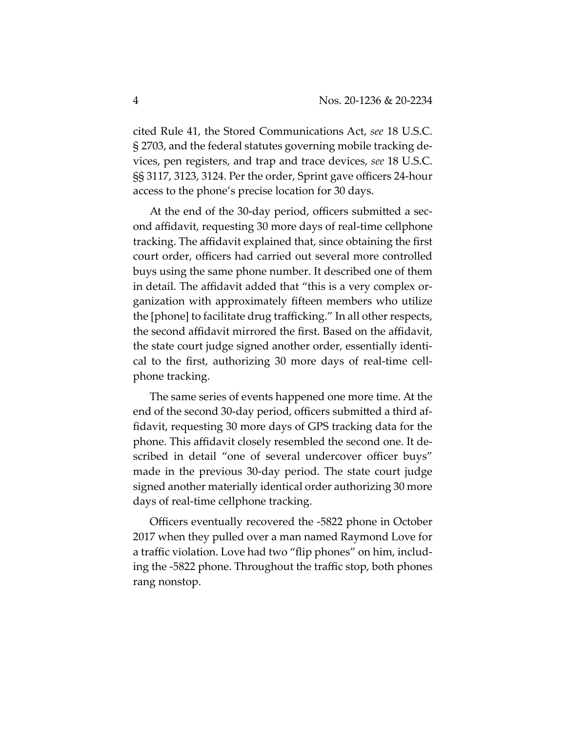cited Rule 41, the Stored Communications Act, *see* 18 U.S.C. § 2703, and the federal statutes governing mobile tracking devices, pen registers, and trap and trace devices, *see* 18 U.S.C. §§ 3117, 3123, 3124. Per the order, Sprint gave officers 24-hour access to the phone's precise location for 30 days.

At the end of the 30-day period, officers submitted a second affidavit, requesting 30 more days of real-time cellphone tracking. The affidavit explained that, since obtaining the first court order, officers had carried out several more controlled buys using the same phone number. It described one of them in detail. The affidavit added that "this is a very complex organization with approximately fifteen members who utilize the [phone] to facilitate drug trafficking." In all other respects, the second affidavit mirrored the first. Based on the affidavit, the state court judge signed another order, essentially identical to the first, authorizing 30 more days of real-time cellphone tracking.

The same series of events happened one more time. At the end of the second 30-day period, officers submitted a third affidavit, requesting 30 more days of GPS tracking data for the phone. This affidavit closely resembled the second one. It described in detail "one of several undercover officer buys" made in the previous 30-day period. The state court judge signed another materially identical order authorizing 30 more days of real-time cellphone tracking.

Officers eventually recovered the -5822 phone in October 2017 when they pulled over a man named Raymond Love for a traffic violation. Love had two "flip phones" on him, including the -5822 phone. Throughout the traffic stop, both phones rang nonstop.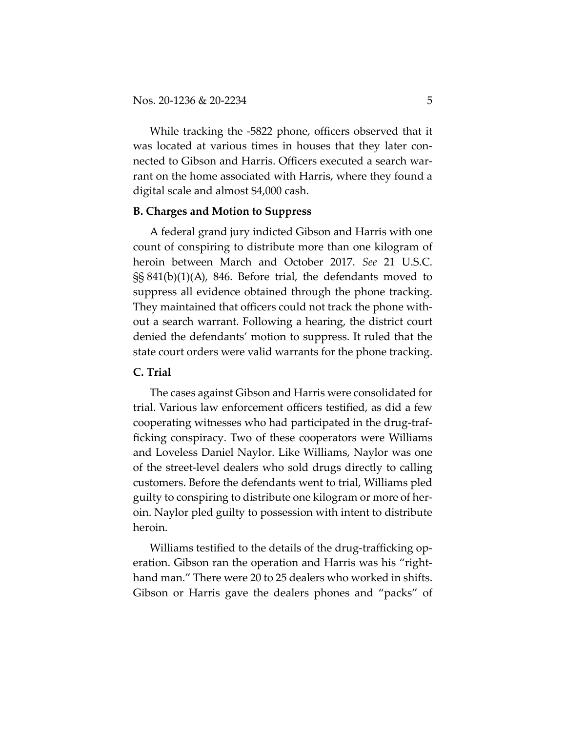While tracking the -5822 phone, officers observed that it was located at various times in houses that they later connected to Gibson and Harris. Officers executed a search warrant on the home associated with Harris, where they found a digital scale and almost \$4,000 cash.

# **B. Charges and Motion to Suppress**

A federal grand jury indicted Gibson and Harris with one count of conspiring to distribute more than one kilogram of heroin between March and October 2017. *See* 21 U.S.C. §§ 841(b)(1)(A), 846. Before trial, the defendants moved to suppress all evidence obtained through the phone tracking. They maintained that officers could not track the phone without a search warrant. Following a hearing, the district court denied the defendants' motion to suppress. It ruled that the state court orders were valid warrants for the phone tracking.

# **C. Trial**

The cases against Gibson and Harris were consolidated for trial. Various law enforcement officers testified, as did a few cooperating witnesses who had participated in the drug-trafficking conspiracy. Two of these cooperators were Williams and Loveless Daniel Naylor. Like Williams, Naylor was one of the street-level dealers who sold drugs directly to calling customers. Before the defendants went to trial, Williams pled guilty to conspiring to distribute one kilogram or more of heroin. Naylor pled guilty to possession with intent to distribute heroin.

Williams testified to the details of the drug-trafficking operation. Gibson ran the operation and Harris was his "righthand man." There were 20 to 25 dealers who worked in shifts. Gibson or Harris gave the dealers phones and "packs" of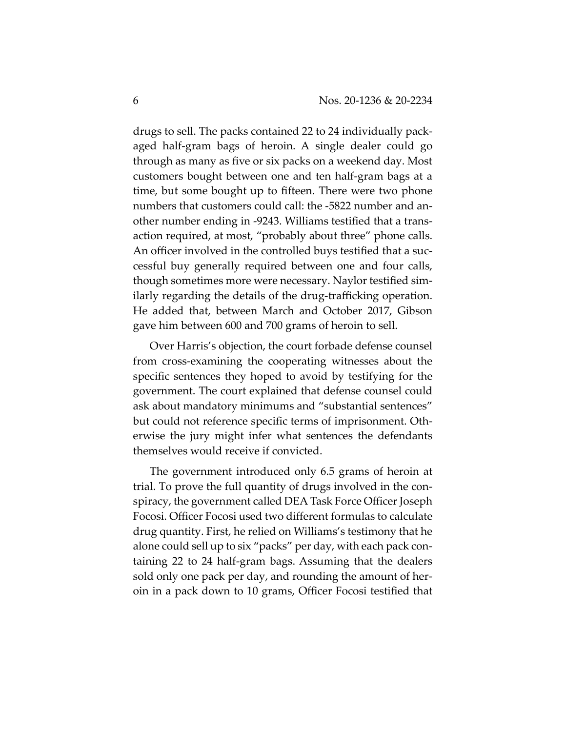drugs to sell. The packs contained 22 to 24 individually packaged half-gram bags of heroin. A single dealer could go through as many as five or six packs on a weekend day. Most customers bought between one and ten half-gram bags at a time, but some bought up to fifteen. There were two phone numbers that customers could call: the -5822 number and another number ending in -9243. Williams testified that a transaction required, at most, "probably about three" phone calls. An officer involved in the controlled buys testified that a successful buy generally required between one and four calls, though sometimes more were necessary. Naylor testified similarly regarding the details of the drug-trafficking operation. He added that, between March and October 2017, Gibson gave him between 600 and 700 grams of heroin to sell.

Over Harris's objection, the court forbade defense counsel from cross-examining the cooperating witnesses about the specific sentences they hoped to avoid by testifying for the government. The court explained that defense counsel could ask about mandatory minimums and "substantial sentences" but could not reference specific terms of imprisonment. Otherwise the jury might infer what sentences the defendants themselves would receive if convicted.

The government introduced only 6.5 grams of heroin at trial. To prove the full quantity of drugs involved in the conspiracy, the government called DEA Task Force Officer Joseph Focosi. Officer Focosi used two different formulas to calculate drug quantity. First, he relied on Williams's testimony that he alone could sell up to six "packs" per day, with each pack containing 22 to 24 half-gram bags. Assuming that the dealers sold only one pack per day, and rounding the amount of heroin in a pack down to 10 grams, Officer Focosi testified that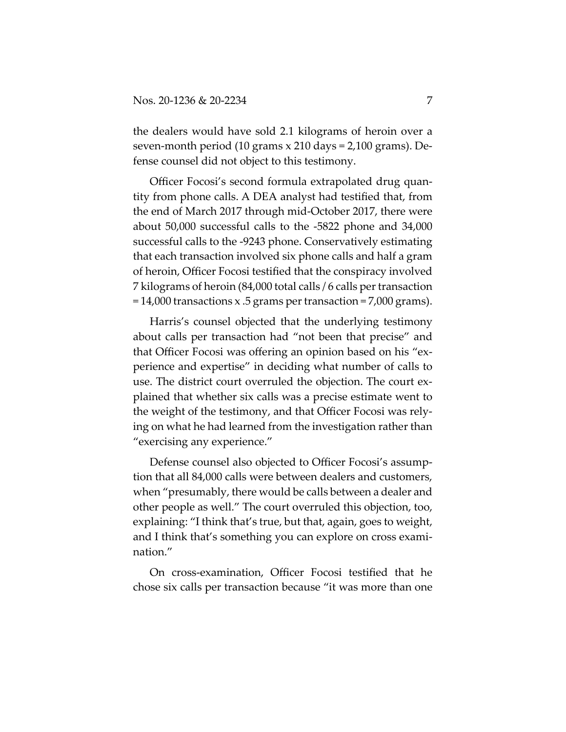the dealers would have sold 2.1 kilograms of heroin over a seven-month period (10 grams x 210 days = 2,100 grams). Defense counsel did not object to this testimony.

Officer Focosi's second formula extrapolated drug quantity from phone calls. A DEA analyst had testified that, from the end of March 2017 through mid-October 2017, there were about 50,000 successful calls to the -5822 phone and 34,000 successful calls to the -9243 phone. Conservatively estimating that each transaction involved six phone calls and half a gram of heroin, Officer Focosi testified that the conspiracy involved 7 kilograms of heroin (84,000 total calls / 6 calls per transaction = 14,000 transactions x .5 grams per transaction = 7,000 grams).

Harris's counsel objected that the underlying testimony about calls per transaction had "not been that precise" and that Officer Focosi was offering an opinion based on his "experience and expertise" in deciding what number of calls to use. The district court overruled the objection. The court explained that whether six calls was a precise estimate went to the weight of the testimony, and that Officer Focosi was relying on what he had learned from the investigation rather than "exercising any experience."

Defense counsel also objected to Officer Focosi's assumption that all 84,000 calls were between dealers and customers, when "presumably, there would be calls between a dealer and other people as well." The court overruled this objection, too, explaining: "I think that's true, but that, again, goes to weight, and I think that's something you can explore on cross examination."

On cross-examination, Officer Focosi testified that he chose six calls per transaction because "it was more than one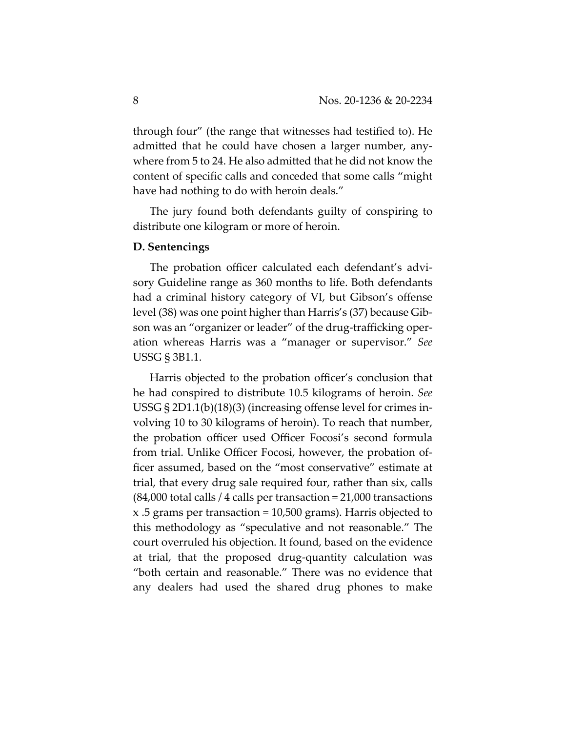through four" (the range that witnesses had testified to). He admitted that he could have chosen a larger number, anywhere from 5 to 24. He also admitted that he did not know the content of specific calls and conceded that some calls "might have had nothing to do with heroin deals."

The jury found both defendants guilty of conspiring to distribute one kilogram or more of heroin.

#### **D. Sentencings**

The probation officer calculated each defendant's advisory Guideline range as 360 months to life. Both defendants had a criminal history category of VI, but Gibson's offense level (38) was one point higher than Harris's (37) because Gibson was an "organizer or leader" of the drug-trafficking operation whereas Harris was a "manager or supervisor." *See* USSG § 3B1.1.

Harris objected to the probation officer's conclusion that he had conspired to distribute 10.5 kilograms of heroin. *See* USSG § 2D1.1(b)(18)(3) (increasing offense level for crimes involving 10 to 30 kilograms of heroin). To reach that number, the probation officer used Officer Focosi's second formula from trial. Unlike Officer Focosi, however, the probation officer assumed, based on the "most conservative" estimate at trial, that every drug sale required four, rather than six, calls (84,000 total calls / 4 calls per transaction = 21,000 transactions x .5 grams per transaction = 10,500 grams). Harris objected to this methodology as "speculative and not reasonable." The court overruled his objection. It found, based on the evidence at trial, that the proposed drug-quantity calculation was "both certain and reasonable." There was no evidence that any dealers had used the shared drug phones to make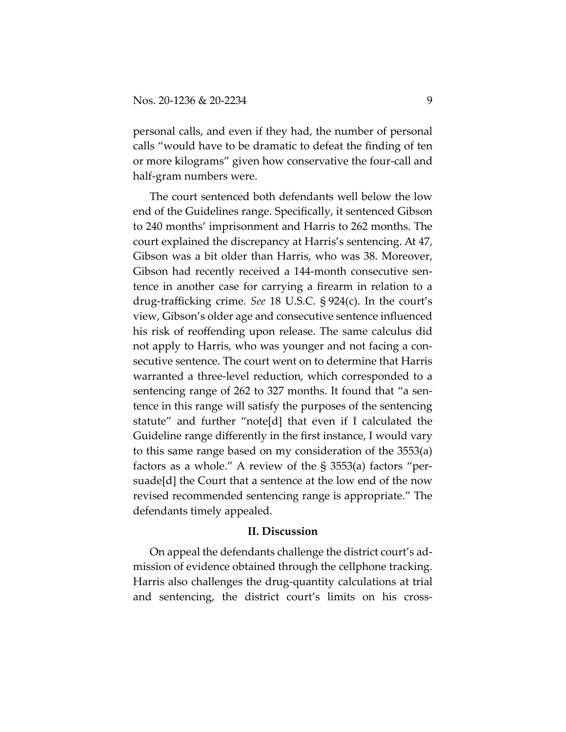personal calls, and even if they had, the number of personal calls "would have to be dramatic to defeat the finding of ten or more kilograms" given how conservative the four-call and half-gram numbers were.

The court sentenced both defendants well below the low end of the Guidelines range. Specifically, it sentenced Gibson to 240 months' imprisonment and Harris to 262 months. The court explained the discrepancy at Harris's sentencing. At 47, Gibson was a bit older than Harris, who was 38. Moreover, Gibson had recently received a 144-month consecutive sentence in another case for carrying a firearm in relation to a drug-trafficking crime. *See* 18 U.S.C. § 924(c). In the court's view, Gibson's older age and consecutive sentence influenced his risk of reoffending upon release. The same calculus did not apply to Harris, who was younger and not facing a consecutive sentence. The court went on to determine that Harris warranted a three-level reduction, which corresponded to a sentencing range of 262 to 327 months. It found that "a sentence in this range will satisfy the purposes of the sentencing statute" and further "note[d] that even if I calculated the Guideline range differently in the first instance, I would vary to this same range based on my consideration of the 3553(a) factors as a whole." A review of the § 3553(a) factors "persuade[d] the Court that a sentence at the low end of the now revised recommended sentencing range is appropriate." The defendants timely appealed.

#### **II. Discussion**

On appeal the defendants challenge the district court's admission of evidence obtained through the cellphone tracking. Harris also challenges the drug-quantity calculations at trial and sentencing, the district court's limits on his cross-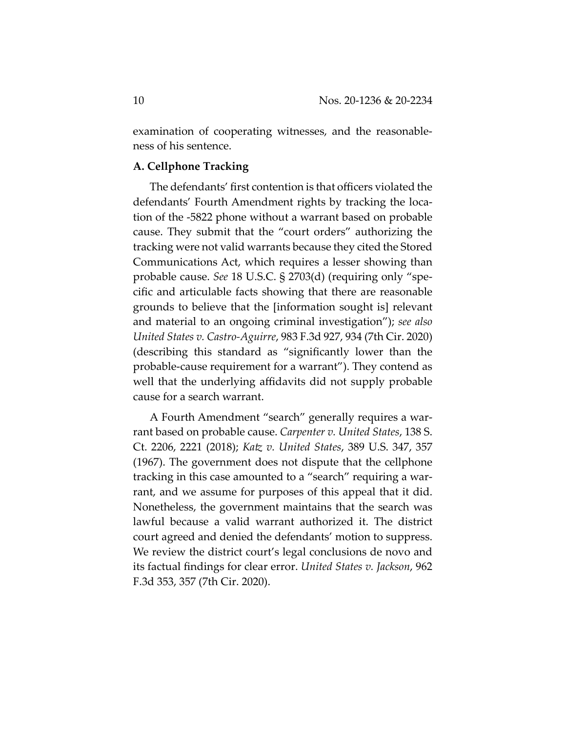examination of cooperating witnesses, and the reasonableness of his sentence.

# **A. Cellphone Tracking**

The defendants' first contention is that officers violated the defendants' Fourth Amendment rights by tracking the location of the -5822 phone without a warrant based on probable cause. They submit that the "court orders" authorizing the tracking were not valid warrants because they cited the Stored Communications Act, which requires a lesser showing than probable cause. *See* 18 U.S.C. § 2703(d) (requiring only "specific and articulable facts showing that there are reasonable grounds to believe that the [information sought is] relevant and material to an ongoing criminal investigation"); *see also United States v. Castro-Aguirre*, 983 F.3d 927, 934 (7th Cir. 2020) (describing this standard as "significantly lower than the probable-cause requirement for a warrant"). They contend as well that the underlying affidavits did not supply probable cause for a search warrant.

A Fourth Amendment "search" generally requires a warrant based on probable cause. *Carpenter v. United States*, 138 S. Ct. 2206, 2221 (2018); *Katz v. United States*, 389 U.S. 347, 357 (1967). The government does not dispute that the cellphone tracking in this case amounted to a "search" requiring a warrant, and we assume for purposes of this appeal that it did. Nonetheless, the government maintains that the search was lawful because a valid warrant authorized it. The district court agreed and denied the defendants' motion to suppress. We review the district court's legal conclusions de novo and its factual findings for clear error. *United States v. Jackson*, 962 F.3d 353, 357 (7th Cir. 2020).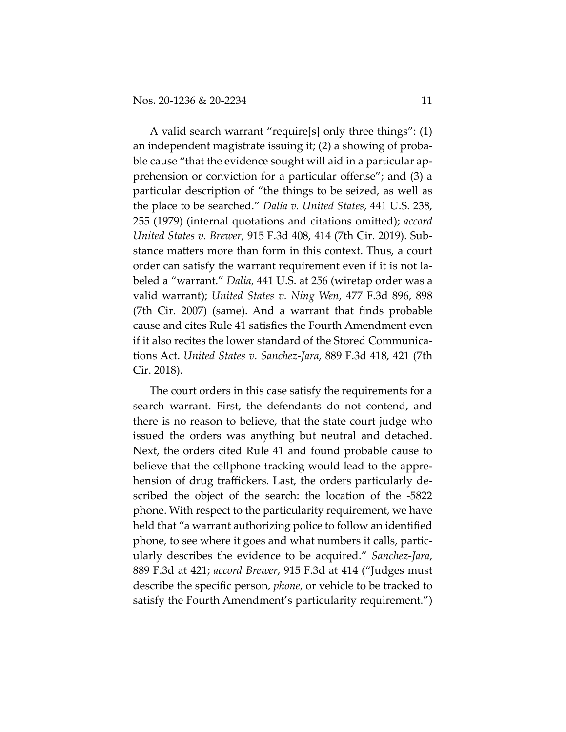A valid search warrant "require[s] only three things": (1) an independent magistrate issuing it; (2) a showing of probable cause "that the evidence sought will aid in a particular apprehension or conviction for a particular offense"; and (3) a particular description of "the things to be seized, as well as the place to be searched." *Dalia v. United States*, 441 U.S. 238, 255 (1979) (internal quotations and citations omitted); *accord United States v. Brewer*, 915 F.3d 408, 414 (7th Cir. 2019). Substance matters more than form in this context. Thus, a court order can satisfy the warrant requirement even if it is not labeled a "warrant." *Dalia*, 441 U.S. at 256 (wiretap order was a valid warrant); *United States v. Ning Wen*, 477 F.3d 896, 898 (7th Cir. 2007) (same). And a warrant that finds probable cause and cites Rule 41 satisfies the Fourth Amendment even if it also recites the lower standard of the Stored Communications Act. *United States v. Sanchez-Jara*, 889 F.3d 418, 421 (7th Cir. 2018).

The court orders in this case satisfy the requirements for a search warrant. First, the defendants do not contend, and there is no reason to believe, that the state court judge who issued the orders was anything but neutral and detached. Next, the orders cited Rule 41 and found probable cause to believe that the cellphone tracking would lead to the apprehension of drug traffickers. Last, the orders particularly described the object of the search: the location of the -5822 phone. With respect to the particularity requirement, we have held that "a warrant authorizing police to follow an identified phone, to see where it goes and what numbers it calls, particularly describes the evidence to be acquired." *Sanchez-Jara*, 889 F.3d at 421; *accord Brewer*, 915 F.3d at 414 ("Judges must describe the specific person, *phone*, or vehicle to be tracked to satisfy the Fourth Amendment's particularity requirement.")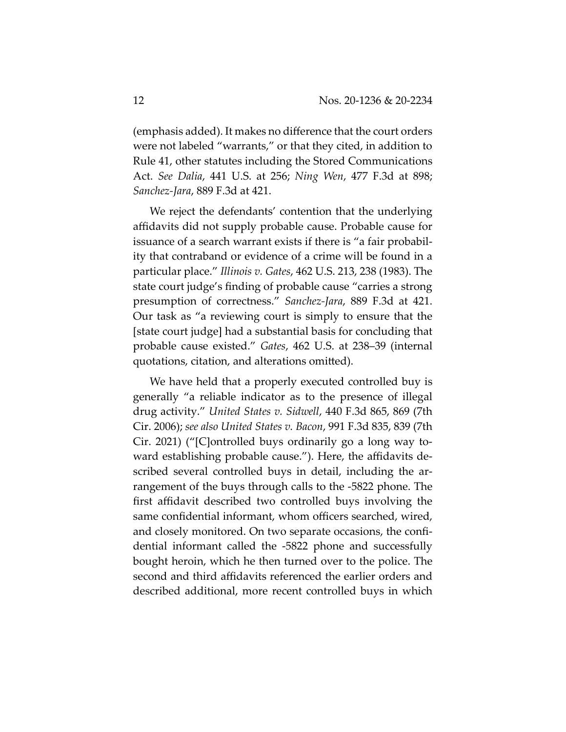(emphasis added). It makes no difference that the court orders were not labeled "warrants," or that they cited, in addition to Rule 41, other statutes including the Stored Communications Act. *See Dalia*, 441 U.S. at 256; *Ning Wen*, 477 F.3d at 898; *Sanchez-Jara*, 889 F.3d at 421.

We reject the defendants' contention that the underlying affidavits did not supply probable cause. Probable cause for issuance of a search warrant exists if there is "a fair probability that contraband or evidence of a crime will be found in a particular place." *Illinois v. Gates*, 462 U.S. 213, 238 (1983). The state court judge's finding of probable cause "carries a strong presumption of correctness." *Sanchez-Jara*, 889 F.3d at 421. Our task as "a reviewing court is simply to ensure that the [state court judge] had a substantial basis for concluding that probable cause existed." *Gates*, 462 U.S. at 238–39 (internal quotations, citation, and alterations omitted).

We have held that a properly executed controlled buy is generally "a reliable indicator as to the presence of illegal drug activity." *United States v. Sidwell*, 440 F.3d 865, 869 (7th Cir. 2006); *see also United States v. Bacon*, 991 F.3d 835, 839 (7th Cir. 2021) ("[C]ontrolled buys ordinarily go a long way toward establishing probable cause."). Here, the affidavits described several controlled buys in detail, including the arrangement of the buys through calls to the -5822 phone. The first affidavit described two controlled buys involving the same confidential informant, whom officers searched, wired, and closely monitored. On two separate occasions, the confidential informant called the -5822 phone and successfully bought heroin, which he then turned over to the police. The second and third affidavits referenced the earlier orders and described additional, more recent controlled buys in which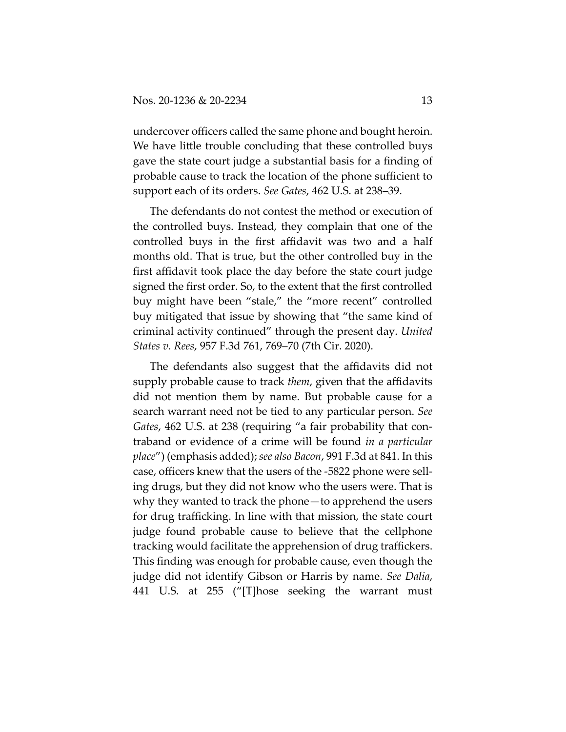undercover officers called the same phone and bought heroin. We have little trouble concluding that these controlled buys gave the state court judge a substantial basis for a finding of probable cause to track the location of the phone sufficient to support each of its orders. *See Gates*, 462 U.S. at 238–39.

The defendants do not contest the method or execution of the controlled buys. Instead, they complain that one of the controlled buys in the first affidavit was two and a half months old. That is true, but the other controlled buy in the first affidavit took place the day before the state court judge signed the first order. So, to the extent that the first controlled buy might have been "stale," the "more recent" controlled buy mitigated that issue by showing that "the same kind of criminal activity continued" through the present day. *United States v. Rees*, 957 F.3d 761, 769–70 (7th Cir. 2020).

The defendants also suggest that the affidavits did not supply probable cause to track *them*, given that the affidavits did not mention them by name. But probable cause for a search warrant need not be tied to any particular person. *See Gates*, 462 U.S. at 238 (requiring "a fair probability that contraband or evidence of a crime will be found *in a particular place*") (emphasis added); *see also Bacon*, 991 F.3d at 841. In this case, officers knew that the users of the -5822 phone were selling drugs, but they did not know who the users were. That is why they wanted to track the phone—to apprehend the users for drug trafficking. In line with that mission, the state court judge found probable cause to believe that the cellphone tracking would facilitate the apprehension of drug traffickers. This finding was enough for probable cause, even though the judge did not identify Gibson or Harris by name. *See Dalia*, 441 U.S. at 255 ("[T]hose seeking the warrant must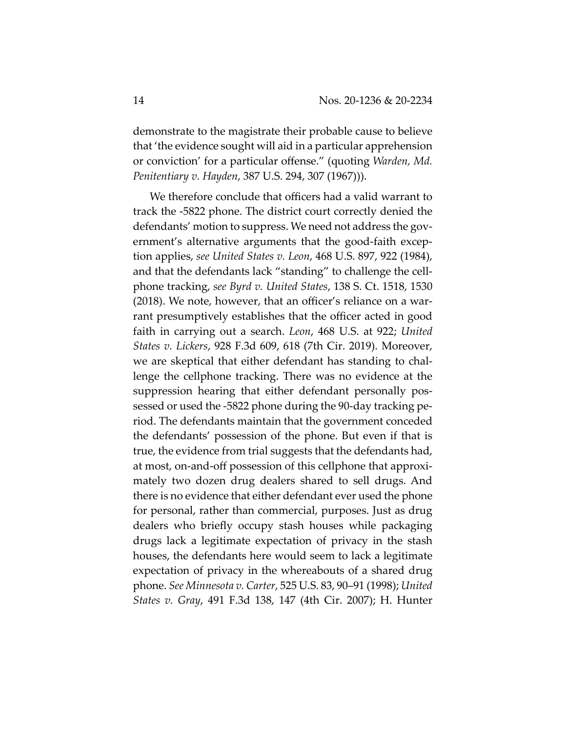demonstrate to the magistrate their probable cause to believe that 'the evidence sought will aid in a particular apprehension or conviction' for a particular offense." (quoting *Warden, Md. Penitentiary v. Hayden*, 387 U.S. 294, 307 (1967))).

We therefore conclude that officers had a valid warrant to track the -5822 phone. The district court correctly denied the defendants' motion to suppress. We need not address the government's alternative arguments that the good-faith exception applies, *see United States v. Leon*, 468 U.S. 897, 922 (1984), and that the defendants lack "standing" to challenge the cellphone tracking, *see Byrd v. United States*, 138 S. Ct. 1518, 1530 (2018). We note, however, that an officer's reliance on a warrant presumptively establishes that the officer acted in good faith in carrying out a search. *Leon*, 468 U.S. at 922; *United States v. Lickers*, 928 F.3d 609, 618 (7th Cir. 2019). Moreover, we are skeptical that either defendant has standing to challenge the cellphone tracking. There was no evidence at the suppression hearing that either defendant personally possessed or used the -5822 phone during the 90-day tracking period. The defendants maintain that the government conceded the defendants' possession of the phone. But even if that is true, the evidence from trial suggests that the defendants had, at most, on-and-off possession of this cellphone that approximately two dozen drug dealers shared to sell drugs. And there is no evidence that either defendant ever used the phone for personal, rather than commercial, purposes. Just as drug dealers who briefly occupy stash houses while packaging drugs lack a legitimate expectation of privacy in the stash houses, the defendants here would seem to lack a legitimate expectation of privacy in the whereabouts of a shared drug phone. *See Minnesota v. Carter*, 525 U.S. 83, 90–91 (1998); *United States v. Gray*, 491 F.3d 138, 147 (4th Cir. 2007); H. Hunter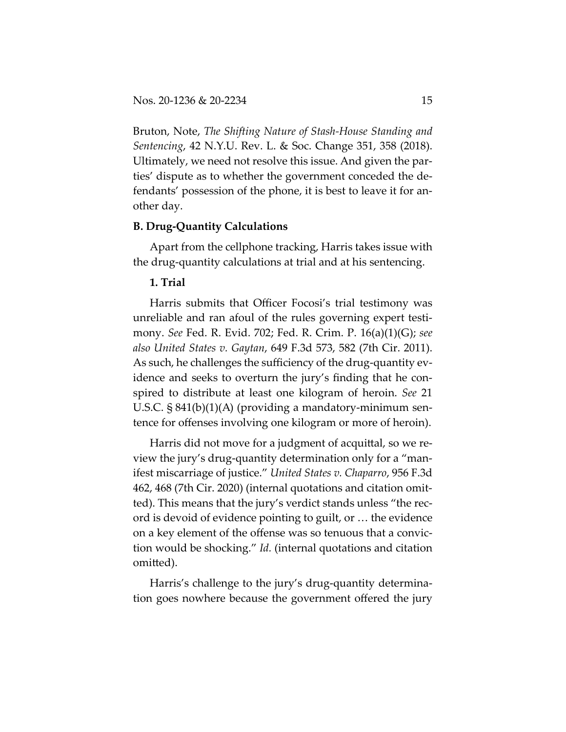Bruton, Note, *The Shifting Nature of Stash-House Standing and Sentencing*, 42 N.Y.U. Rev. L. & Soc. Change 351, 358 (2018). Ultimately, we need not resolve this issue. And given the parties' dispute as to whether the government conceded the defendants' possession of the phone, it is best to leave it for another day.

# **B. Drug-Quantity Calculations**

Apart from the cellphone tracking, Harris takes issue with the drug-quantity calculations at trial and at his sentencing.

# **1. Trial**

Harris submits that Officer Focosi's trial testimony was unreliable and ran afoul of the rules governing expert testimony. *See* Fed. R. Evid. 702; Fed. R. Crim. P. 16(a)(1)(G); *see also United States v. Gaytan*, 649 F.3d 573, 582 (7th Cir. 2011). As such, he challenges the sufficiency of the drug-quantity evidence and seeks to overturn the jury's finding that he conspired to distribute at least one kilogram of heroin. *See* 21 U.S.C. § 841(b)(1)(A) (providing a mandatory-minimum sentence for offenses involving one kilogram or more of heroin).

Harris did not move for a judgment of acquittal, so we review the jury's drug-quantity determination only for a "manifest miscarriage of justice." *United States v. Chaparro*, 956 F.3d 462, 468 (7th Cir. 2020) (internal quotations and citation omitted). This means that the jury's verdict stands unless "the record is devoid of evidence pointing to guilt, or … the evidence on a key element of the offense was so tenuous that a conviction would be shocking." *Id.* (internal quotations and citation omitted).

Harris's challenge to the jury's drug-quantity determination goes nowhere because the government offered the jury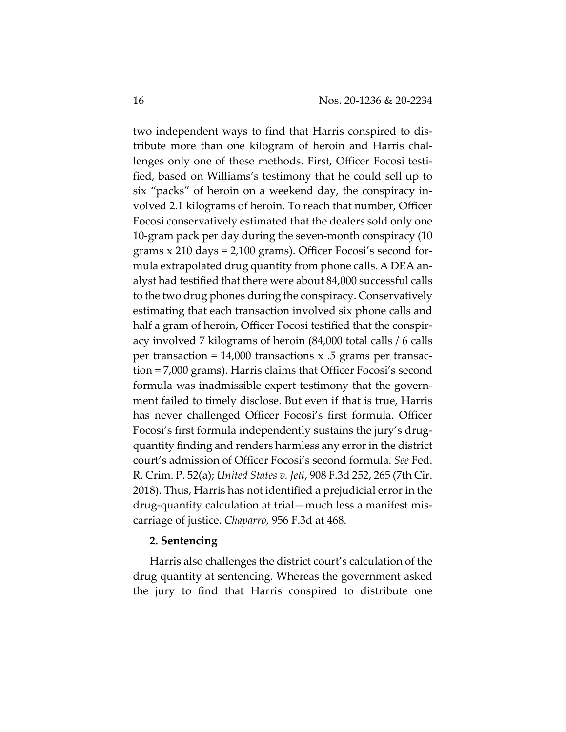two independent ways to find that Harris conspired to distribute more than one kilogram of heroin and Harris challenges only one of these methods. First, Officer Focosi testified, based on Williams's testimony that he could sell up to six "packs" of heroin on a weekend day, the conspiracy involved 2.1 kilograms of heroin. To reach that number, Officer Focosi conservatively estimated that the dealers sold only one 10-gram pack per day during the seven-month conspiracy (10 grams x 210 days = 2,100 grams). Officer Focosi's second formula extrapolated drug quantity from phone calls. A DEA analyst had testified that there were about 84,000 successful calls to the two drug phones during the conspiracy. Conservatively estimating that each transaction involved six phone calls and half a gram of heroin, Officer Focosi testified that the conspiracy involved 7 kilograms of heroin (84,000 total calls / 6 calls per transaction =  $14,000$  transactions x .5 grams per transaction = 7,000 grams). Harris claims that Officer Focosi's second formula was inadmissible expert testimony that the government failed to timely disclose. But even if that is true, Harris has never challenged Officer Focosi's first formula. Officer Focosi's first formula independently sustains the jury's drugquantity finding and renders harmless any error in the district court's admission of Officer Focosi's second formula. *See* Fed. R. Crim. P. 52(a); *United States v. Jett*, 908 F.3d 252, 265 (7th Cir. 2018). Thus, Harris has not identified a prejudicial error in the drug-quantity calculation at trial—much less a manifest miscarriage of justice. *Chaparro*, 956 F.3d at 468.

# **2. Sentencing**

Harris also challenges the district court's calculation of the drug quantity at sentencing. Whereas the government asked the jury to find that Harris conspired to distribute one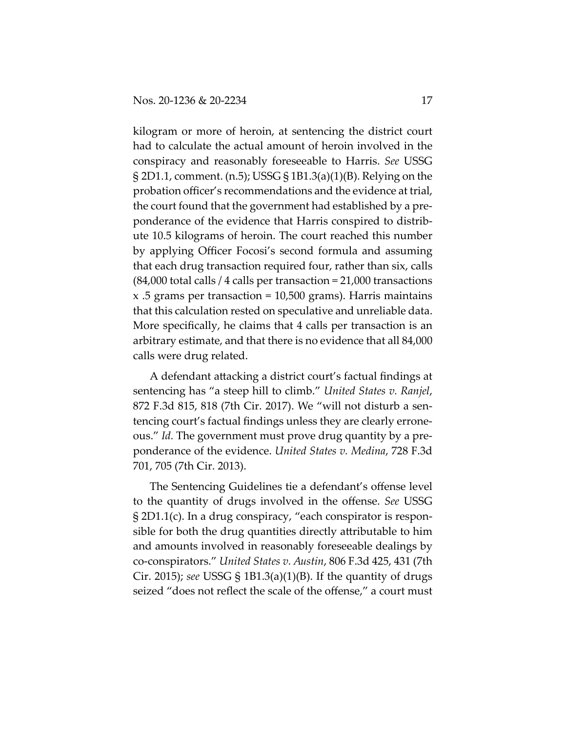kilogram or more of heroin, at sentencing the district court had to calculate the actual amount of heroin involved in the conspiracy and reasonably foreseeable to Harris. *See* USSG § 2D1.1, comment. (n.5); USSG § 1B1.3(a)(1)(B). Relying on the probation officer's recommendations and the evidence at trial, the court found that the government had established by a preponderance of the evidence that Harris conspired to distribute 10.5 kilograms of heroin. The court reached this number by applying Officer Focosi's second formula and assuming that each drug transaction required four, rather than six, calls (84,000 total calls / 4 calls per transaction = 21,000 transactions x .5 grams per transaction = 10,500 grams). Harris maintains that this calculation rested on speculative and unreliable data. More specifically, he claims that 4 calls per transaction is an arbitrary estimate, and that there is no evidence that all 84,000 calls were drug related.

A defendant attacking a district court's factual findings at sentencing has "a steep hill to climb." *United States v. Ranjel*, 872 F.3d 815, 818 (7th Cir. 2017). We "will not disturb a sentencing court's factual findings unless they are clearly erroneous." *Id.* The government must prove drug quantity by a preponderance of the evidence. *United States v. Medina*, 728 F.3d 701, 705 (7th Cir. 2013).

The Sentencing Guidelines tie a defendant's offense level to the quantity of drugs involved in the offense. *See* USSG § 2D1.1(c). In a drug conspiracy, "each conspirator is responsible for both the drug quantities directly attributable to him and amounts involved in reasonably foreseeable dealings by co-conspirators." *United States v. Austin*, 806 F.3d 425, 431 (7th Cir. 2015); *see* USSG § 1B1.3(a)(1)(B). If the quantity of drugs seized "does not reflect the scale of the offense," a court must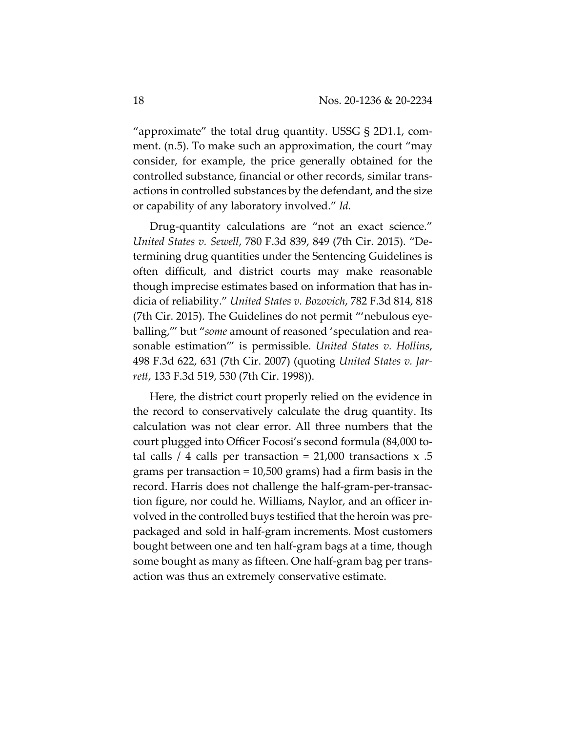"approximate" the total drug quantity. USSG § 2D1.1, comment. (n.5). To make such an approximation, the court "may consider, for example, the price generally obtained for the controlled substance, financial or other records, similar transactions in controlled substances by the defendant, and the size or capability of any laboratory involved." *Id.*

Drug-quantity calculations are "not an exact science." *United States v. Sewell*, 780 F.3d 839, 849 (7th Cir. 2015). "Determining drug quantities under the Sentencing Guidelines is often difficult, and district courts may make reasonable though imprecise estimates based on information that has indicia of reliability." *United States v. Bozovich*, 782 F.3d 814, 818 (7th Cir. 2015). The Guidelines do not permit "'nebulous eyeballing,'" but "*some* amount of reasoned 'speculation and reasonable estimation'" is permissible. *United States v. Hollins*, 498 F.3d 622, 631 (7th Cir. 2007) (quoting *United States v. Jarrett*, 133 F.3d 519, 530 (7th Cir. 1998)).

Here, the district court properly relied on the evidence in the record to conservatively calculate the drug quantity. Its calculation was not clear error. All three numbers that the court plugged into Officer Focosi's second formula (84,000 total calls  $/4$  calls per transaction = 21,000 transactions  $x$  .5 grams per transaction = 10,500 grams) had a firm basis in the record. Harris does not challenge the half-gram-per-transaction figure, nor could he. Williams, Naylor, and an officer involved in the controlled buys testified that the heroin was prepackaged and sold in half-gram increments. Most customers bought between one and ten half-gram bags at a time, though some bought as many as fifteen. One half-gram bag per transaction was thus an extremely conservative estimate.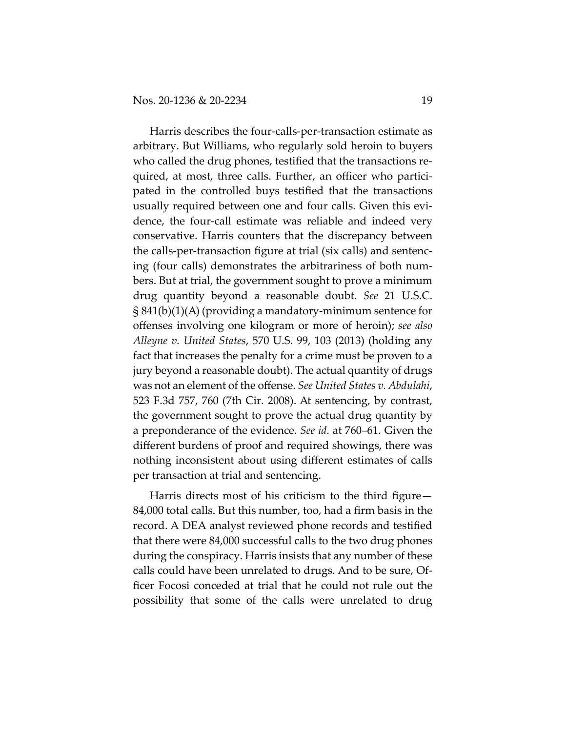Harris describes the four-calls-per-transaction estimate as arbitrary. But Williams, who regularly sold heroin to buyers who called the drug phones, testified that the transactions required, at most, three calls. Further, an officer who participated in the controlled buys testified that the transactions usually required between one and four calls. Given this evidence, the four-call estimate was reliable and indeed very conservative. Harris counters that the discrepancy between the calls-per-transaction figure at trial (six calls) and sentencing (four calls) demonstrates the arbitrariness of both numbers. But at trial, the government sought to prove a minimum drug quantity beyond a reasonable doubt. *See* 21 U.S.C. § 841(b)(1)(A) (providing a mandatory-minimum sentence for offenses involving one kilogram or more of heroin); *see also Alleyne v. United States*, 570 U.S. 99, 103 (2013) (holding any fact that increases the penalty for a crime must be proven to a jury beyond a reasonable doubt). The actual quantity of drugs was not an element of the offense. *See United States v. Abdulahi*, 523 F.3d 757, 760 (7th Cir. 2008). At sentencing, by contrast, the government sought to prove the actual drug quantity by a preponderance of the evidence. *See id.* at 760–61. Given the different burdens of proof and required showings, there was nothing inconsistent about using different estimates of calls per transaction at trial and sentencing.

Harris directs most of his criticism to the third figure— 84,000 total calls. But this number, too, had a firm basis in the record. A DEA analyst reviewed phone records and testified that there were 84,000 successful calls to the two drug phones during the conspiracy. Harris insists that any number of these calls could have been unrelated to drugs. And to be sure, Officer Focosi conceded at trial that he could not rule out the possibility that some of the calls were unrelated to drug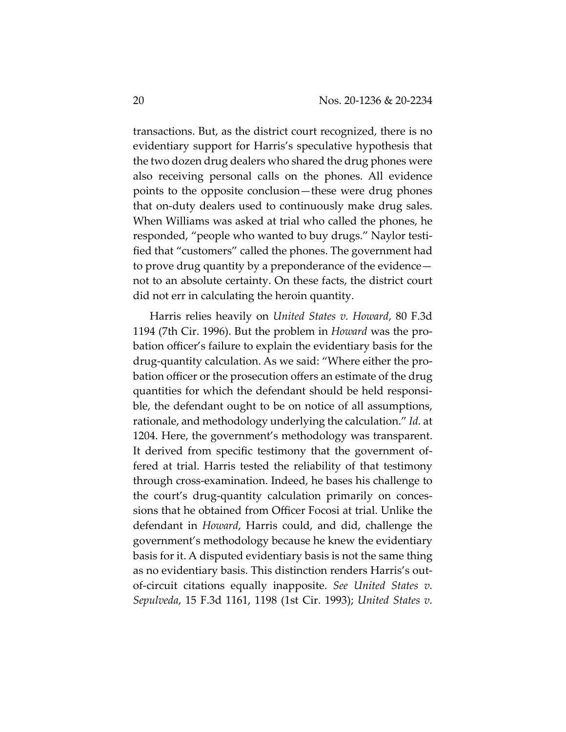transactions. But, as the district court recognized, there is no evidentiary support for Harris's speculative hypothesis that the two dozen drug dealers who shared the drug phones were also receiving personal calls on the phones. All evidence points to the opposite conclusion—these were drug phones that on-duty dealers used to continuously make drug sales. When Williams was asked at trial who called the phones, he responded, "people who wanted to buy drugs." Naylor testified that "customers" called the phones. The government had to prove drug quantity by a preponderance of the evidence not to an absolute certainty. On these facts, the district court did not err in calculating the heroin quantity.

Harris relies heavily on *United States v. Howard*, 80 F.3d 1194 (7th Cir. 1996). But the problem in *Howard* was the probation officer's failure to explain the evidentiary basis for the drug-quantity calculation. As we said: "Where either the probation officer or the prosecution offers an estimate of the drug quantities for which the defendant should be held responsible, the defendant ought to be on notice of all assumptions, rationale, and methodology underlying the calculation." *Id.* at 1204. Here, the government's methodology was transparent. It derived from specific testimony that the government offered at trial. Harris tested the reliability of that testimony through cross-examination. Indeed, he bases his challenge to the court's drug-quantity calculation primarily on concessions that he obtained from Officer Focosi at trial. Unlike the defendant in *Howard*, Harris could, and did, challenge the government's methodology because he knew the evidentiary basis for it. A disputed evidentiary basis is not the same thing as no evidentiary basis. This distinction renders Harris's outof-circuit citations equally inapposite. *See United States v. Sepulveda*, 15 F.3d 1161, 1198 (1st Cir. 1993); *United States v.*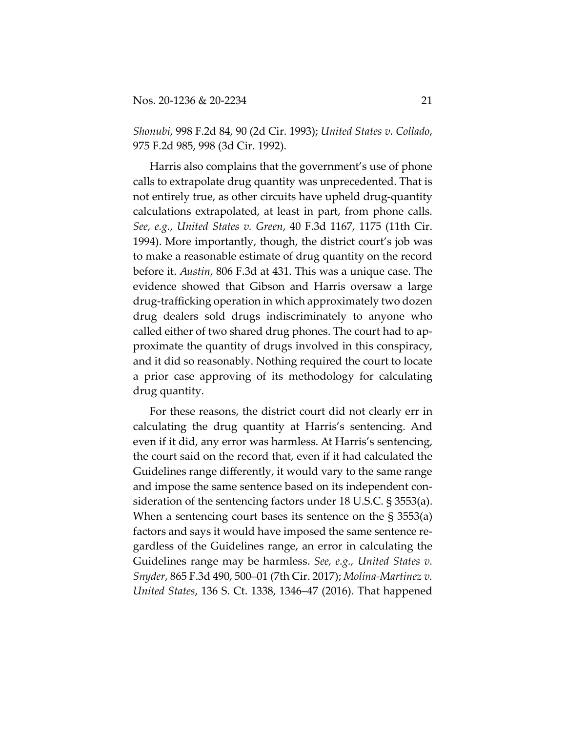*Shonubi*, 998 F.2d 84, 90 (2d Cir. 1993); *United States v. Collado*, 975 F.2d 985, 998 (3d Cir. 1992).

Harris also complains that the government's use of phone calls to extrapolate drug quantity was unprecedented. That is not entirely true, as other circuits have upheld drug-quantity calculations extrapolated, at least in part, from phone calls. *See, e.g.*, *United States v. Green*, 40 F.3d 1167, 1175 (11th Cir. 1994). More importantly, though, the district court's job was to make a reasonable estimate of drug quantity on the record before it. *Austin*, 806 F.3d at 431. This was a unique case. The evidence showed that Gibson and Harris oversaw a large drug-trafficking operation in which approximately two dozen drug dealers sold drugs indiscriminately to anyone who called either of two shared drug phones. The court had to approximate the quantity of drugs involved in this conspiracy, and it did so reasonably. Nothing required the court to locate a prior case approving of its methodology for calculating drug quantity.

For these reasons, the district court did not clearly err in calculating the drug quantity at Harris's sentencing. And even if it did, any error was harmless. At Harris's sentencing, the court said on the record that, even if it had calculated the Guidelines range differently, it would vary to the same range and impose the same sentence based on its independent consideration of the sentencing factors under 18 U.S.C. § 3553(a). When a sentencing court bases its sentence on the § 3553(a) factors and says it would have imposed the same sentence regardless of the Guidelines range, an error in calculating the Guidelines range may be harmless. *See, e.g., United States v. Snyder*, 865 F.3d 490, 500–01 (7th Cir. 2017); *Molina-Martinez v. United States*, 136 S. Ct. 1338, 1346–47 (2016). That happened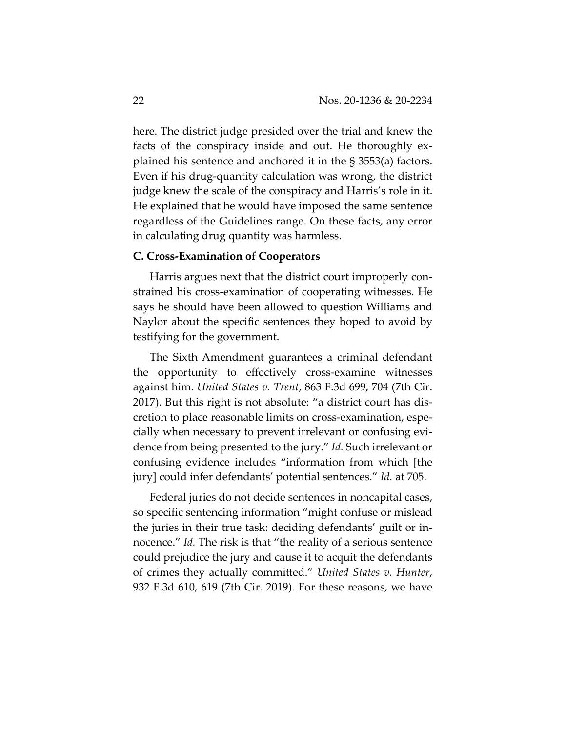here. The district judge presided over the trial and knew the facts of the conspiracy inside and out. He thoroughly explained his sentence and anchored it in the § 3553(a) factors. Even if his drug-quantity calculation was wrong, the district judge knew the scale of the conspiracy and Harris's role in it. He explained that he would have imposed the same sentence regardless of the Guidelines range. On these facts, any error in calculating drug quantity was harmless.

## **C. Cross-Examination of Cooperators**

Harris argues next that the district court improperly constrained his cross-examination of cooperating witnesses. He says he should have been allowed to question Williams and Naylor about the specific sentences they hoped to avoid by testifying for the government.

The Sixth Amendment guarantees a criminal defendant the opportunity to effectively cross-examine witnesses against him. *United States v. Trent*, 863 F.3d 699, 704 (7th Cir. 2017). But this right is not absolute: "a district court has discretion to place reasonable limits on cross-examination, especially when necessary to prevent irrelevant or confusing evidence from being presented to the jury." *Id.* Such irrelevant or confusing evidence includes "information from which [the jury] could infer defendants' potential sentences." *Id.* at 705.

Federal juries do not decide sentences in noncapital cases, so specific sentencing information "might confuse or mislead the juries in their true task: deciding defendants' guilt or innocence." *Id.* The risk is that "the reality of a serious sentence could prejudice the jury and cause it to acquit the defendants of crimes they actually committed." *United States v. Hunter*, 932 F.3d 610, 619 (7th Cir. 2019). For these reasons, we have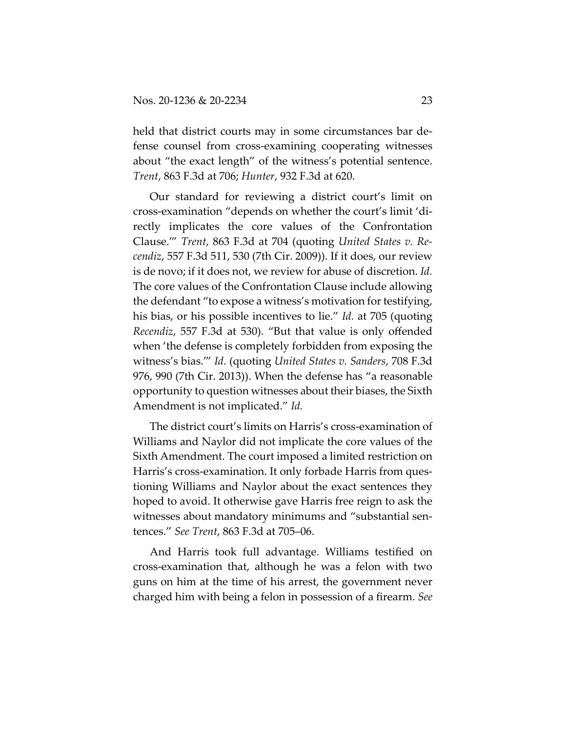held that district courts may in some circumstances bar defense counsel from cross-examining cooperating witnesses about "the exact length" of the witness's potential sentence. *Trent*, 863 F.3d at 706; *Hunter*, 932 F.3d at 620.

Our standard for reviewing a district court's limit on cross-examination "depends on whether the court's limit 'directly implicates the core values of the Confrontation Clause.'" *Trent*, 863 F.3d at 704 (quoting *United States v. Recendiz*, 557 F.3d 511, 530 (7th Cir. 2009)). If it does, our review is de novo; if it does not, we review for abuse of discretion. *Id.* The core values of the Confrontation Clause include allowing the defendant "to expose a witness's motivation for testifying, his bias, or his possible incentives to lie." *Id.* at 705 (quoting *Recendiz*, 557 F.3d at 530). "But that value is only offended when 'the defense is completely forbidden from exposing the witness's bias.'" *Id.* (quoting *United States v. Sanders*, 708 F.3d 976, 990 (7th Cir. 2013)). When the defense has "a reasonable opportunity to question witnesses about their biases, the Sixth Amendment is not implicated." *Id.*

The district court's limits on Harris's cross-examination of Williams and Naylor did not implicate the core values of the Sixth Amendment. The court imposed a limited restriction on Harris's cross-examination. It only forbade Harris from questioning Williams and Naylor about the exact sentences they hoped to avoid. It otherwise gave Harris free reign to ask the witnesses about mandatory minimums and "substantial sentences." *See Trent*, 863 F.3d at 705–06.

And Harris took full advantage. Williams testified on cross-examination that, although he was a felon with two guns on him at the time of his arrest, the government never charged him with being a felon in possession of a firearm. *See*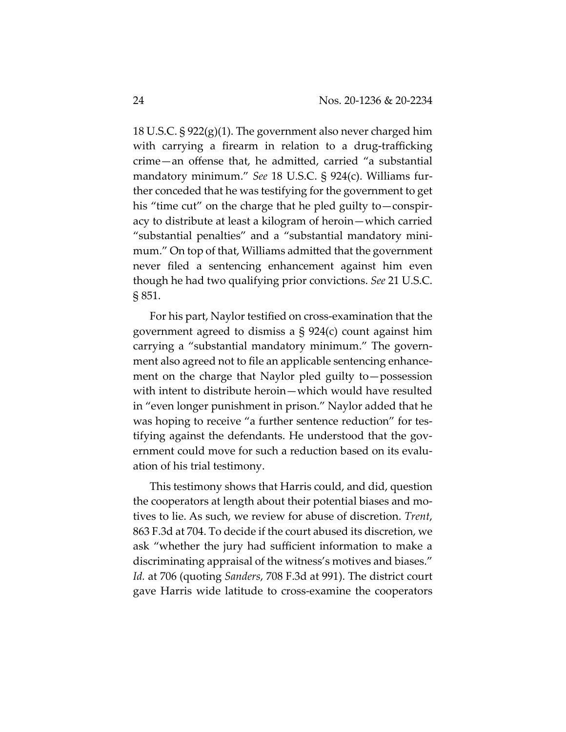18 U.S.C. § 922(g)(1). The government also never charged him with carrying a firearm in relation to a drug-trafficking crime—an offense that, he admitted, carried "a substantial mandatory minimum." *See* 18 U.S.C. § 924(c). Williams further conceded that he was testifying for the government to get his "time cut" on the charge that he pled guilty to—conspiracy to distribute at least a kilogram of heroin—which carried "substantial penalties" and a "substantial mandatory minimum." On top of that, Williams admitted that the government never filed a sentencing enhancement against him even though he had two qualifying prior convictions. *See* 21 U.S.C. § 851.

For his part, Naylor testified on cross-examination that the government agreed to dismiss a § 924(c) count against him carrying a "substantial mandatory minimum." The government also agreed not to file an applicable sentencing enhancement on the charge that Naylor pled guilty to—possession with intent to distribute heroin—which would have resulted in "even longer punishment in prison." Naylor added that he was hoping to receive "a further sentence reduction" for testifying against the defendants. He understood that the government could move for such a reduction based on its evaluation of his trial testimony.

This testimony shows that Harris could, and did, question the cooperators at length about their potential biases and motives to lie. As such, we review for abuse of discretion. *Trent*, 863 F.3d at 704. To decide if the court abused its discretion, we ask "whether the jury had sufficient information to make a discriminating appraisal of the witness's motives and biases." *Id.* at 706 (quoting *Sanders*, 708 F.3d at 991). The district court gave Harris wide latitude to cross-examine the cooperators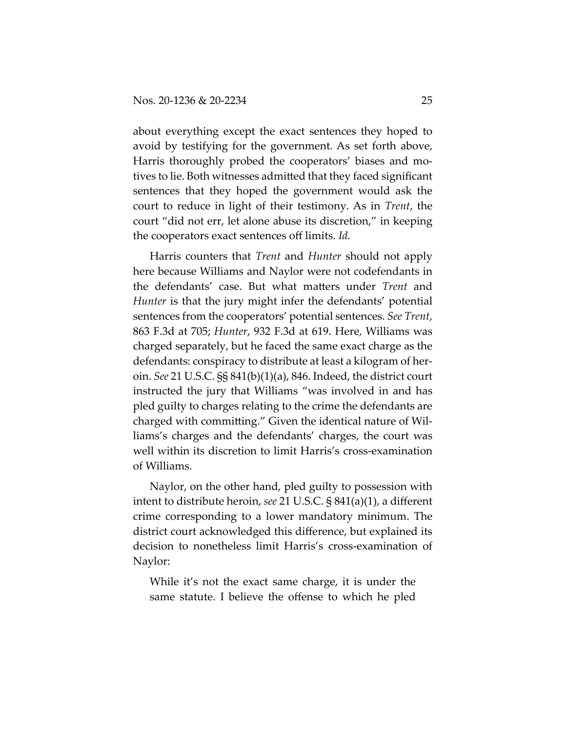about everything except the exact sentences they hoped to avoid by testifying for the government. As set forth above, Harris thoroughly probed the cooperators' biases and motives to lie. Both witnesses admitted that they faced significant sentences that they hoped the government would ask the court to reduce in light of their testimony. As in *Trent*, the court "did not err, let alone abuse its discretion," in keeping the cooperators exact sentences off limits. *Id.*

Harris counters that *Trent* and *Hunter* should not apply here because Williams and Naylor were not codefendants in the defendants' case. But what matters under *Trent* and *Hunter* is that the jury might infer the defendants' potential sentences from the cooperators' potential sentences. *See Trent*, 863 F.3d at 705; *Hunter*, 932 F.3d at 619. Here, Williams was charged separately, but he faced the same exact charge as the defendants: conspiracy to distribute at least a kilogram of heroin. *See* 21 U.S.C. §§ 841(b)(1)(a), 846. Indeed, the district court instructed the jury that Williams "was involved in and has pled guilty to charges relating to the crime the defendants are charged with committing." Given the identical nature of Williams's charges and the defendants' charges, the court was well within its discretion to limit Harris's cross-examination of Williams.

Naylor, on the other hand, pled guilty to possession with intent to distribute heroin, *see* 21 U.S.C. § 841(a)(1), a different crime corresponding to a lower mandatory minimum. The district court acknowledged this difference, but explained its decision to nonetheless limit Harris's cross-examination of Naylor:

While it's not the exact same charge, it is under the same statute. I believe the offense to which he pled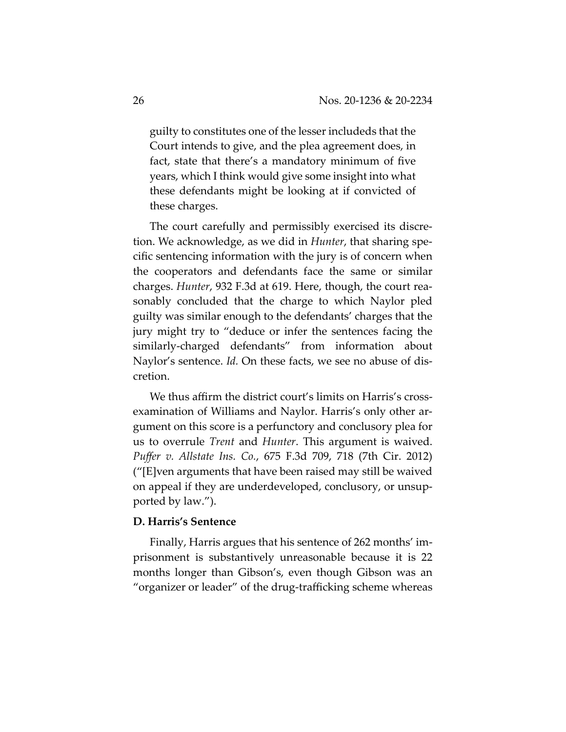guilty to constitutes one of the lesser includeds that the Court intends to give, and the plea agreement does, in fact, state that there's a mandatory minimum of five years, which I think would give some insight into what these defendants might be looking at if convicted of these charges.

The court carefully and permissibly exercised its discretion. We acknowledge, as we did in *Hunter*, that sharing specific sentencing information with the jury is of concern when the cooperators and defendants face the same or similar charges. *Hunter*, 932 F.3d at 619. Here, though, the court reasonably concluded that the charge to which Naylor pled guilty was similar enough to the defendants' charges that the jury might try to "deduce or infer the sentences facing the similarly-charged defendants" from information about Naylor's sentence. *Id.* On these facts, we see no abuse of discretion.

We thus affirm the district court's limits on Harris's crossexamination of Williams and Naylor. Harris's only other argument on this score is a perfunctory and conclusory plea for us to overrule *Trent* and *Hunter*. This argument is waived. *Puffer v. Allstate Ins. Co.*, 675 F.3d 709, 718 (7th Cir. 2012) ("[E]ven arguments that have been raised may still be waived on appeal if they are underdeveloped, conclusory, or unsupported by law.").

#### **D. Harris's Sentence**

Finally, Harris argues that his sentence of 262 months' imprisonment is substantively unreasonable because it is 22 months longer than Gibson's, even though Gibson was an "organizer or leader" of the drug-trafficking scheme whereas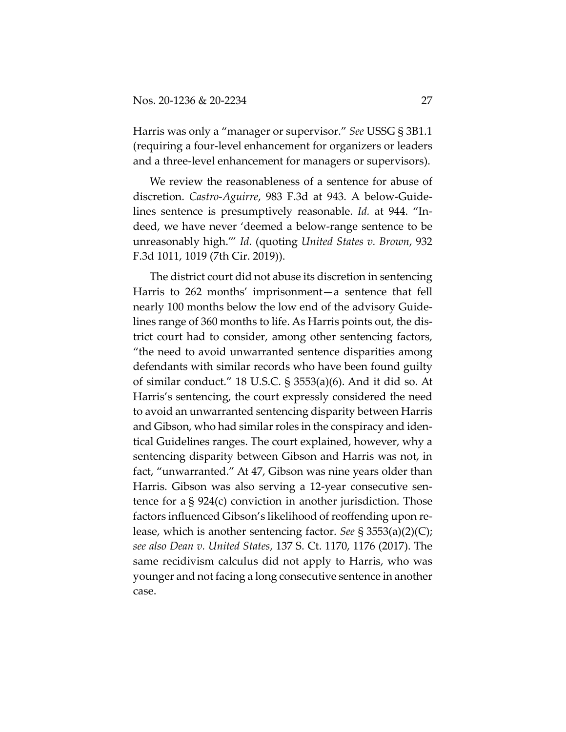Harris was only a "manager or supervisor." *See* USSG § 3B1.1 (requiring a four-level enhancement for organizers or leaders and a three-level enhancement for managers or supervisors).

We review the reasonableness of a sentence for abuse of discretion. *Castro-Aguirre*, 983 F.3d at 943. A below-Guidelines sentence is presumptively reasonable. *Id.* at 944. "Indeed, we have never 'deemed a below-range sentence to be unreasonably high.'" *Id.* (quoting *United States v. Brown*, 932 F.3d 1011, 1019 (7th Cir. 2019)).

The district court did not abuse its discretion in sentencing Harris to 262 months' imprisonment—a sentence that fell nearly 100 months below the low end of the advisory Guidelines range of 360 months to life. As Harris points out, the district court had to consider, among other sentencing factors, "the need to avoid unwarranted sentence disparities among defendants with similar records who have been found guilty of similar conduct." 18 U.S.C. § 3553(a)(6). And it did so. At Harris's sentencing, the court expressly considered the need to avoid an unwarranted sentencing disparity between Harris and Gibson, who had similar roles in the conspiracy and identical Guidelines ranges. The court explained, however, why a sentencing disparity between Gibson and Harris was not, in fact, "unwarranted." At 47, Gibson was nine years older than Harris. Gibson was also serving a 12-year consecutive sentence for a § 924(c) conviction in another jurisdiction. Those factors influenced Gibson's likelihood of reoffending upon release, which is another sentencing factor. *See* § 3553(a)(2)(C); *see also Dean v. United States*, 137 S. Ct. 1170, 1176 (2017). The same recidivism calculus did not apply to Harris, who was younger and not facing a long consecutive sentence in another case.